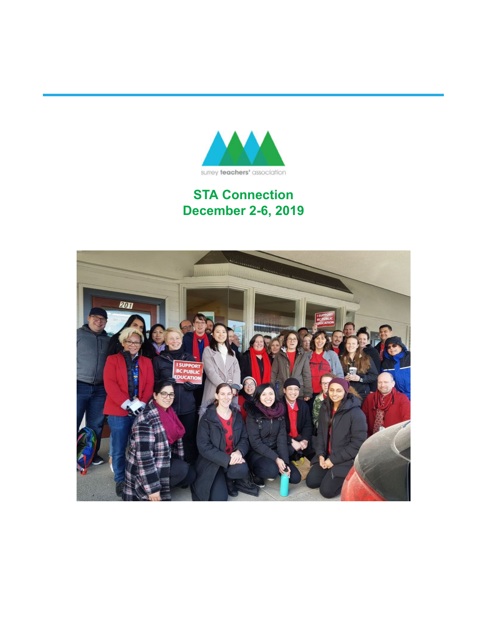

### **STA Connection December 2-6, 2019**

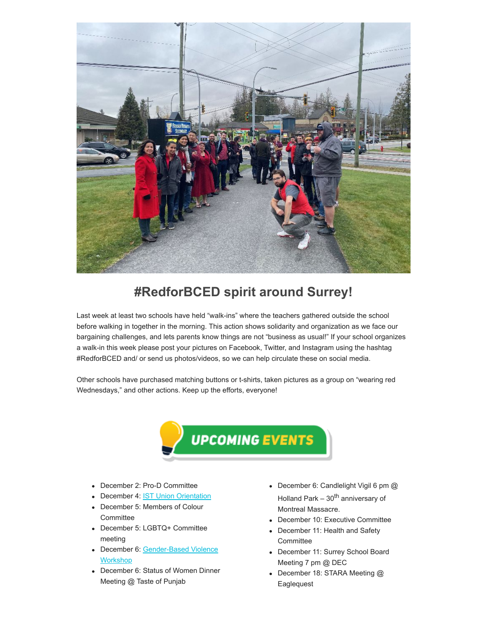

#### **#RedforBCED spirit around Surrey!**

Last week at least two schools have held "walk-ins" where the teachers gathered outside the school before walking in together in the morning. This action shows solidarity and organization as we face our bargaining challenges, and lets parents know things are not "business as usual!" If your school organizes a walk-in this week please post your pictures on Facebook, Twitter, and Instagram using the hashtag #RedforBCED and/ or send us photos/videos, so we can help circulate these on social media.

Other schools have purchased matching buttons or t-shirts, taken pictures as a group on "wearing red Wednesdays," and other actions. Keep up the efforts, everyone!



- December 2: Pro-D Committee
- December 4: **IST [Union Orientation](https://surreyteachers.us20.list-manage.com/track/click?u=37ec644ae87e34b54b3912660&id=01568df225&e=7261da6bdb)**
- December 5: Members of Colour **Committee**
- December 5: LGBTQ+ Committee meeting
- [December 6: Gender-Based Violence](https://surreyteachers.us20.list-manage.com/track/click?u=37ec644ae87e34b54b3912660&id=36fffef3fc&e=7261da6bdb) **Workshop**
- December 6: Status of Women Dinner Meeting @ Taste of Punjab
- December 6: Candlelight Vigil 6 pm @ Holland Park  $-30^{th}$  anniversary of Montreal Massacre.
- December 10: Executive Committee
- December 11: Health and Safety **Committee**
- December 11: Surrey School Board Meeting 7 pm @ DEC
- December 18: STARA Meeting @ **Eaglequest**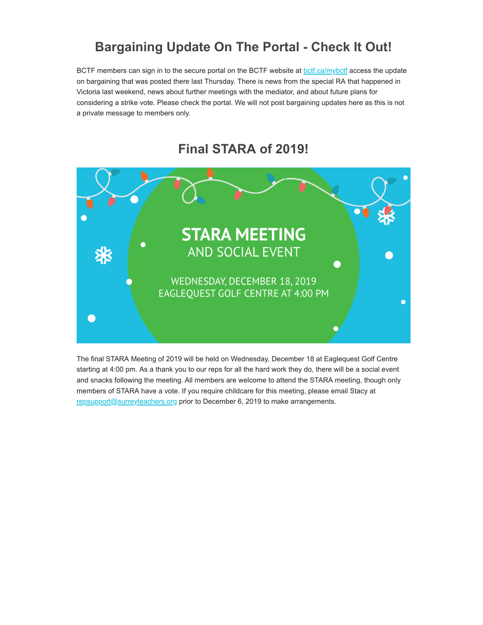### **Bargaining Update On The Portal - Check It Out!**

BCTF members can sign in to the secure portal on the BCTF website at **botf.ca/mybctf** access the update on bargaining that was posted there last Thursday. There is news from the special RA that happened in Victoria last weekend, news about further meetings with the mediator, and about future plans for considering a strike vote. Please check the portal. We will not post bargaining updates here as this is not a private message to members only.



#### **Final STARA of 2019!**

The final STARA Meeting of 2019 will be held on Wednesday, December 18 at Eaglequest Golf Centre starting at 4:00 pm. As a thank you to our reps for all the hard work they do, there will be a social event and snacks following the meeting. All members are welcome to attend the STARA meeting, though only members of STARA have a vote. If you require childcare for this meeting, please email Stacy at [repsupport@surreyteachers.org](https://surreyteachers.us20.list-manage.com/track/click?u=37ec644ae87e34b54b3912660&id=0bf22cde4c&e=7261da6bdb) prior to December 6, 2019 to make arrangements.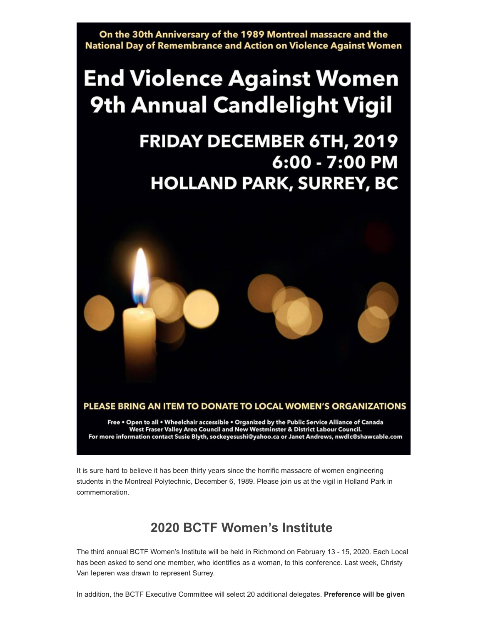On the 30th Anniversary of the 1989 Montreal massacre and the National Day of Remembrance and Action on Violence Against Women

# **End Violence Against Women 9th Annual Candlelight Vigil**

## **FRIDAY DECEMBER 6TH, 2019** 6:00 - 7:00 PM **HOLLAND PARK, SURREY, BC**



PLEASE BRING AN ITEM TO DONATE TO LOCAL WOMEN'S ORGANIZATIONS

Free . Open to all . Wheelchair accessible . Organized by the Public Service Alliance of Canada West Fraser Valley Area Council and New Westminster & District Labour Council. For more information contact Susie Blyth, sockeyesushi@yahoo.ca or Janet Andrews, nwdlc@shawcable.com

It is sure hard to believe it has been thirty years since the horrific massacre of women engineering students in the Montreal Polytechnic, December 6, 1989. Please join us at the vigil in Holland Park in commemoration.

### **2020 BCTF Women's Institute**

The third annual BCTF Women's Institute will be held in Richmond on February 13 - 15, 2020. Each Local has been asked to send one member, who identifies as a woman, to this conference. Last week, Christy Van Ieperen was drawn to represent Surrey.

In addition, the BCTF Executive Committee will select 20 additional delegates. **Preference will be given**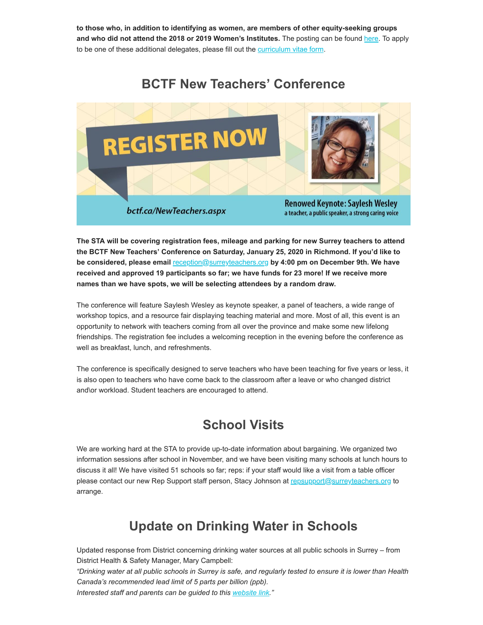**to those who, in addition to identifying as women, are members of other equity-seeking groups and who did not attend the 2018 or 2019 Women's Institutes.** The posting can be found [here.](https://surreyteachers.us20.list-manage.com/track/click?u=37ec644ae87e34b54b3912660&id=f803910539&e=7261da6bdb) To apply to be one of these additional delegates, please fill out the [curriculum vitae form.](https://surreyteachers.us20.list-manage.com/track/click?u=37ec644ae87e34b54b3912660&id=19c847bd28&e=7261da6bdb)

#### **BCTF New Teachers' Conference**



**The STA will be covering registration fees, mileage and parking for new Surrey teachers to attend the BCTF New Teachers' Conference on Saturday, January 25, 2020 in Richmond. If you'd like to be considered, please email** [reception@surreyteachers.org](mailto:reception@surreyteachers.org) **by 4:00 pm on December 9th. We have received and approved 19 participants so far; we have funds for 23 more! If we receive more names than we have spots, we will be selecting attendees by a random draw.** 

The conference will feature Saylesh Wesley as keynote speaker, a panel of teachers, a wide range of workshop topics, and a resource fair displaying teaching material and more. Most of all, this event is an opportunity to network with teachers coming from all over the province and make some new lifelong friendships. The registration fee includes a welcoming reception in the evening before the conference as well as breakfast, lunch, and refreshments.

The conference is specifically designed to serve teachers who have been teaching for five years or less, it is also open to teachers who have come back to the classroom after a leave or who changed district and\or workload. Student teachers are encouraged to attend.

#### **School Visits**

We are working hard at the STA to provide up-to-date information about bargaining. We organized two information sessions after school in November, and we have been visiting many schools at lunch hours to discuss it all! We have visited 51 schools so far; reps: if your staff would like a visit from a table officer please contact our new Rep Support staff person, Stacy Johnson at [repsupport@surreyteachers.org](https://surreyteachers.us20.list-manage.com/track/click?u=37ec644ae87e34b54b3912660&id=419875244b&e=7261da6bdb) to arrange.

### **Update on Drinking Water in Schools**

Updated response from District concerning drinking water sources at all public schools in Surrey – from District Health & Safety Manager, Mary Campbell:

*"Drinking water at all public schools in Surrey is safe, and regularly tested to ensure it is lower than Health Canada's recommended lead limit of 5 parts per billion (ppb).*

*Interested staff and parents can be guided to this [website link.](https://surreyteachers.us20.list-manage.com/track/click?u=37ec644ae87e34b54b3912660&id=678b05e73b&e=7261da6bdb)"*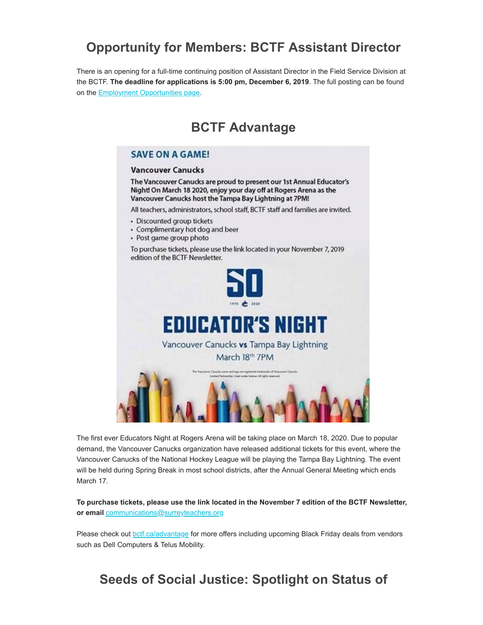### **Opportunity for Members: BCTF Assistant Director**

There is an opening for a full-time continuing position of Assistant Director in the Field Service Division at the BCTF. **The deadline for applications is 5:00 pm, December 6, 2019**. The full posting can be found on the **[Employment Opportunities page](https://surreyteachers.us20.list-manage.com/track/click?u=37ec644ae87e34b54b3912660&id=a635fe952a&e=7261da6bdb)**.

#### **BCTF Advantage**

#### **SAVE ON A GAME!**

#### **Vancouver Canucks**

The Vancouver Canucks are proud to present our 1st Annual Educator's Night! On March 18 2020, enjoy your day off at Rogers Arena as the Vancouver Canucks host the Tampa Bay Lightning at 7PM!

All teachers, administrators, school staff, BCTF staff and families are invited.

- · Discounted group tickets
- Complimentary hot dog and beer
- · Post game group photo

To purchase tickets, please use the link located in your November 7, 2019 edition of the BCTF Newsletter.



The first ever Educators Night at Rogers Arena will be taking place on March 18, 2020. Due to popular demand, the Vancouver Canucks organization have released additional tickets for this event, where the Vancouver Canucks of the National Hockey League will be playing the Tampa Bay Lightning. The event will be held during Spring Break in most school districts, after the Annual General Meeting which ends March 17.

**To purchase tickets, please use the link located in the November 7 edition of the BCTF Newsletter, or email** [communications@surreyteachers.org](https://surreyteachers.us20.list-manage.com/track/click?u=37ec644ae87e34b54b3912660&id=6f4b53f6aa&e=7261da6bdb)

Please check out **botf.ca/advantage** for more offers including upcoming Black Friday deals from vendors such as Dell Computers & Telus Mobility.

#### **Seeds of Social Justice: Spotlight on Status of**